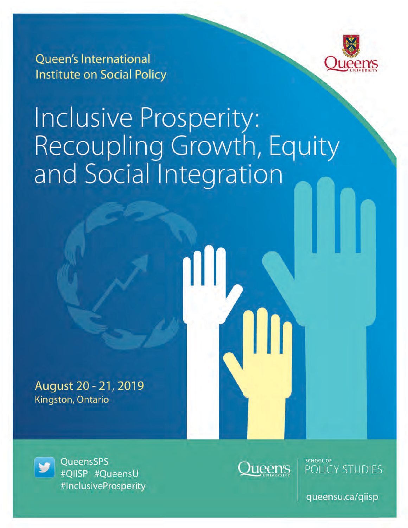

**Oueen's International Institute on Social Policy** 

# Inclusive Prosperity:<br>Recoupling Growth, Equity<br>and Social Integration

August 20 - 21, 2019 Kingston, Ontario

QueensSPS #QIISP #QueensU #InclusiveProsperity



**SCHOOL OF** POLICY STUDIES

queensu.ca/qiisp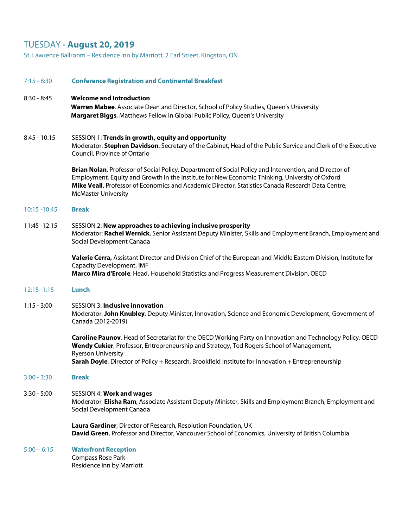# TUESDAY **- August 20, 2019**

St. Lawrence Ballroom – Residence Inn by Marriott, 2 Earl Street, Kingston, ON

| $7:15 - 8:30$   | <b>Conference Registration and Continental Breakfast</b>                                                                                                                                                                                                                                                                                    |
|-----------------|---------------------------------------------------------------------------------------------------------------------------------------------------------------------------------------------------------------------------------------------------------------------------------------------------------------------------------------------|
| $8:30 - 8:45$   | <b>Welcome and Introduction</b><br>Warren Mabee, Associate Dean and Director, School of Policy Studies, Queen's University<br>Margaret Biggs, Matthews Fellow in Global Public Policy, Queen's University                                                                                                                                   |
| $8:45 - 10:15$  | SESSION 1: Trends in growth, equity and opportunity<br>Moderator: Stephen Davidson, Secretary of the Cabinet, Head of the Public Service and Clerk of the Executive<br>Council, Province of Ontario                                                                                                                                         |
|                 | Brian Nolan, Professor of Social Policy, Department of Social Policy and Intervention, and Director of<br>Employment, Equity and Growth in the Institute for New Economic Thinking, University of Oxford<br>Mike Veall, Professor of Economics and Academic Director, Statistics Canada Research Data Centre,<br><b>McMaster University</b> |
| $10:15 - 10:45$ | <b>Break</b>                                                                                                                                                                                                                                                                                                                                |
| 11:45 - 12:15   | SESSION 2: New approaches to achieving inclusive prosperity<br>Moderator: Rachel Wernick, Senior Assistant Deputy Minister, Skills and Employment Branch, Employment and<br>Social Development Canada                                                                                                                                       |
|                 | Valerie Cerra, Assistant Director and Division Chief of the European and Middle Eastern Division, Institute for<br><b>Capacity Development, IMF</b><br>Marco Mira d'Ercole, Head, Household Statistics and Progress Measurement Division, OECD                                                                                              |
| $12:15 - 1:15$  | Lunch                                                                                                                                                                                                                                                                                                                                       |
| $1:15 - 3:00$   | <b>SESSION 3: Inclusive innovation</b><br>Moderator: John Knubley, Deputy Minister, Innovation, Science and Economic Development, Government of<br>Canada (2012-2019)                                                                                                                                                                       |
|                 | Caroline Paunov, Head of Secretariat for the OECD Working Party on Innovation and Technology Policy, OECD<br>Wendy Cukier, Professor, Entrepreneurship and Strategy, Ted Rogers School of Management,<br><b>Ryerson University</b>                                                                                                          |
|                 | Sarah Doyle, Director of Policy + Research, Brookfield Institute for Innovation + Entrepreneurship                                                                                                                                                                                                                                          |
| $3:00 - 3:30$   | <b>Break</b>                                                                                                                                                                                                                                                                                                                                |
| $3:30 - 5:00$   | SESSION 4: Work and wages<br>Moderator: Elisha Ram, Associate Assistant Deputy Minister, Skills and Employment Branch, Employment and<br>Social Development Canada                                                                                                                                                                          |
|                 | Laura Gardiner, Director of Research, Resolution Foundation, UK<br>David Green, Professor and Director, Vancouver School of Economics, University of British Columbia                                                                                                                                                                       |
| $5:00 - 6:15$   | <b>Waterfront Reception</b><br>Compass Rose Park<br>Residence Inn by Marriott                                                                                                                                                                                                                                                               |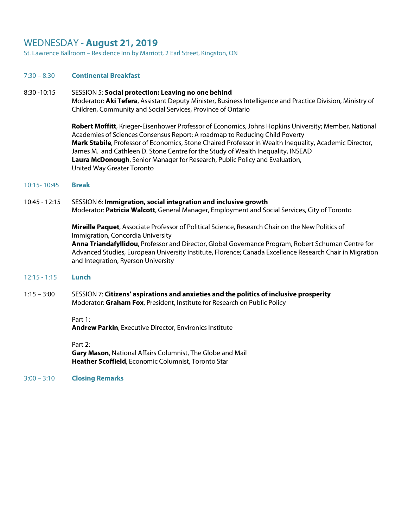#### WEDNESDAY **- August 21, 2019**

St. Lawrence Ballroom – Residence Inn by Marriott, 2 Earl Street, Kingston, ON

#### 7:30 – 8:30 **Continental Breakfast**

#### 8:30 -10:15 SESSION 5: **Social protection: Leaving no one behind**

Moderator: **Aki Tefera**, Assistant Deputy Minister, Business Intelligence and Practice Division, Ministry of Children, Community and Social Services, Province of Ontario

**Robert Moffitt**, Krieger-Eisenhower Professor of Economics, Johns Hopkins University; Member, National Academies of Sciences Consensus Report: A roadmap to Reducing Child Poverty **Mark Stabile**, Professor of Economics, Stone Chaired Professor in Wealth Inequality, Academic Director, James M. and Cathleen D. Stone Centre for the Study of Wealth Inequality, INSEAD **Laura McDonough**, Senior Manager for Research, Public Policy and Evaluation, United Way Greater Toronto

10:15- 10:45 **Break**

#### 10:45 - 12:15 SESSION 6: **Immigration, social integration and inclusive growth** Moderator: **Patricia Walcott**, General Manager, Employment and Social Services, City of Toronto

**Mireille Paquet**, Associate Professor of Political Science, Research Chair on the New Politics of Immigration, Concordia University **Anna Triandafyllidou**, Professor and Director, Global Governance Program, Robert Schuman Centre for

Advanced Studies, European University Institute, Florence; Canada Excellence Research Chair in Migration and Integration, Ryerson University

- 12:15 1:15 **Lunch**
- 1:15 3:00 SESSION 7: **Citizens' aspirations and anxieties and the politics of inclusive prosperity** Moderator: **Graham Fox**, President, Institute for Research on Public Policy

#### Part 1:

**Andrew Parkin, Executive Director, Environics Institute** 

Part 2:

**Gary Mason**, National Affairs Columnist, The Globe and Mail **Heather Scoffield**, Economic Columnist, Toronto Star

3:00 – 3:10 **Closing Remarks**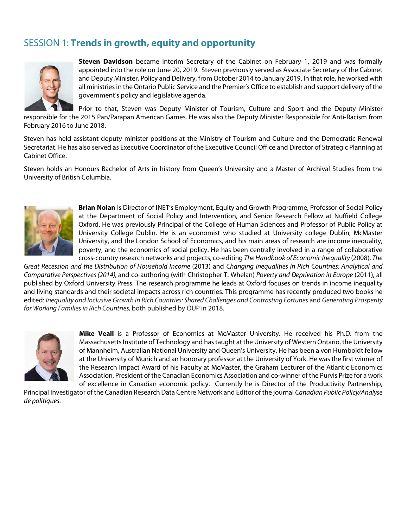## SESSION 1: **Trends in growth, equity and opportunity**



**Steven Davidson** became interim Secretary of the Cabinet on February 1, 2019 and was formally appointed into the role on June 20, 2019. Steven previously served as Associate Secretary of the Cabinet and Deputy Minister, Policy and Delivery, from October 2014 to January 2019. In that role, he worked with all ministries in the Ontario Public Service and the Premier's Office to establish and support delivery of the government's policy and legislative agenda.

Prior to that, Steven was Deputy Minister of Tourism, Culture and Sport and the Deputy Minister responsible for the 2015 Pan/Parapan American Games. He was also the Deputy Minister Responsible for Anti-Racism from February 2016 to June 2018.

Steven has held assistant deputy minister positions at the Ministry of Tourism and Culture and the Democratic Renewal Secretariat. He has also served as Executive Coordinator of the Executive Council Office and Director of Strategic Planning at Cabinet Office.

Steven holds an Honours Bachelor of Arts in history from Queen's University and a Master of Archival Studies from the University of British Columbia.



**Brian Nolan** is Director of INET's Employment, Equity and Growth Programme, Professor of Social Policy at the Department of Social Policy and Intervention, and Senior Research Fellow at Nuffield College Oxford. He was previously Principal of the College of Human Sciences and Professor of Public Policy at University College Dublin. He is an economist who studied at University college Dublin, McMaster University, and the London School of Economics, and his main areas of research are income inequality, poverty, and the economics of social policy. He has been centrally involved in a range of collaborative cross-country research networks and projects, co-editing *The Handbook of Economic Inequality* (2008), *The* 

*Great Recession and the Distribution of Household Income* (2013) and *Changing Inequalities in Rich Countries: Analytical and Comparative Perspectives (2014),* and co-authoring (with Christopher T. Whelan) *Poverty and Deprivation in Europe* (2011), all published by Oxford University Press. The research programme he leads at Oxford focuses on trends in income inequality and living standards and their societal impacts across rich countries. This programme has recently produced two books he edited: *Inequality and Inclusive Growth in Rich Countries: Shared Challenges and Contrasting Fortunes and Generating Prosperity for Working Families in Rich Countries,* both published by OUP in 2018.



**Mike Veall** is a Professor of Economics at McMaster University. He received his Ph.D. from the Massachusetts Institute of Technology and has taught at the University of Western Ontario, the University of Mannheim, Australian National University and Queen's University. He has been a von Humboldt fellow at the University of Munich and an honorary professor at the University of York. He was the first winner of the Research Impact Award of his Faculty at McMaster, the Graham Lecturer of the Atlantic Economics Association, President of the Canadian Economics Association and co-winner of the Purvis Prize for a work of excellence in Canadian economic policy. Currently he is Director of the Productivity Partnership,

Principal Investigator of the Canadian Research Data Centre Network and Editor of the journal *Canadian Public Policy/Analyse de politiques.*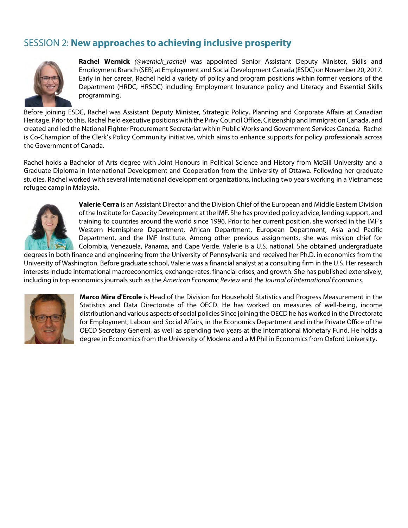## SESSION 2: **New approaches to achieving inclusive prosperity**



**Rachel Wernick** *(@wernick\_rachel)* was appointed Senior Assistant Deputy Minister, Skills and Employment Branch (SEB) at Employment and Social Development Canada (ESDC) on November 20, 2017. Early in her career, Rachel held a variety of policy and program positions within former versions of the Department (HRDC, HRSDC) including Employment Insurance policy and Literacy and Essential Skills programming.

Before joining ESDC, Rachel was Assistant Deputy Minister, Strategic Policy, Planning and Corporate Affairs at Canadian Heritage. Prior to this, Rachel held executive positions with the Privy Council Office, Citizenship and Immigration Canada, and created and led the National Fighter Procurement Secretariat within Public Works and Government Services Canada. Rachel is Co-Champion of the Clerk's Policy Community initiative, which aims to enhance supports for policy professionals across the Government of Canada.

Rachel holds a Bachelor of Arts degree with Joint Honours in Political Science and History from McGill University and a Graduate Diploma in International Development and Cooperation from the University of Ottawa. Following her graduate studies, Rachel worked with several international development organizations, including two years working in a Vietnamese refugee camp in Malaysia.



**Valerie Cerra** is an Assistant Director and the Division Chief of the European and Middle Eastern Division of the Institute for Capacity Development at the IMF. She has provided policy advice, lending support, and training to countries around the world since 1996. Prior to her current position, she worked in the IMF's Western Hemisphere Department, African Department, European Department, Asia and Pacific Department, and the IMF Institute. Among other previous assignments, she was mission chief for Colombia, Venezuela, Panama, and Cape Verde. Valerie is a U.S. national. She obtained undergraduate

degrees in both finance and engineering from the University of Pennsylvania and received her Ph.D. in economics from the University of Washington. Before graduate school, Valerie was a financial analyst at a consulting firm in the U.S. Her research interests include international macroeconomics, exchange rates, financial crises, and growth. She has published extensively, including in top economics journals such as the *American Economic Review* and *the Journal of International Economics.*



**Marco Mira d'Ercole** is Head of the Division for Household Statistics and Progress Measurement in the Statistics and Data Directorate of the OECD. He has worked on measures of well-being, income distribution and various aspects of social policies Since joining the OECD he has worked in the Directorate for Employment, Labour and Social Affairs, in the Economics Department and in the Private Office of the OECD Secretary General, as well as spending two years at the International Monetary Fund. He holds a degree in Economics from the University of Modena and a M.Phil in Economics from Oxford University.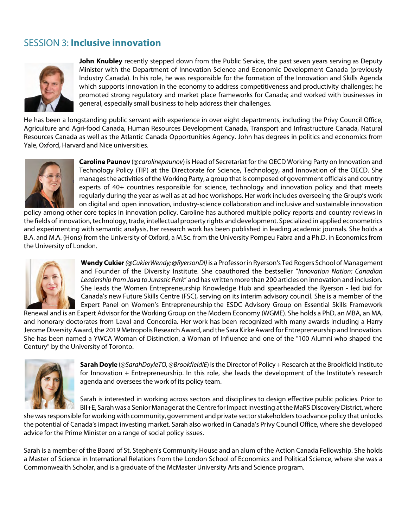## SESSION 3: **Inclusive innovation**



**John Knubley** recently stepped down from the Public Service, the past seven years serving as Deputy Minister with the Department of Innovation Science and Economic Development Canada (previously Industry Canada). In his role, he was responsible for the formation of the Innovation and Skills Agenda which supports innovation in the economy to address competitiveness and productivity challenges; he promoted strong regulatory and market place frameworks for Canada; and worked with businesses in general, especially small business to help address their challenges.

He has been a longstanding public servant with experience in over eight departments, including the Privy Council Office, Agriculture and Agri-food Canada, Human Resources Development Canada, Transport and Infrastructure Canada, Natural Resources Canada as well as the Atlantic Canada Opportunities Agency. John has degrees in politics and economics from Yale, Oxford, Harvard and Nice universities.



**Caroline Paunov** (*@carolinepaunov*) is Head of Secretariat for the OECD Working Party on Innovation and Technology Policy (TIP) at the Directorate for Science, Technology, and Innovation of the OECD. She manages the activities of the Working Party, a group that is composed of government officials and country experts of 40+ countries responsible for science, technology and innovation policy and that meets regularly during the year as well as at ad hoc workshops. Her work includes overseeing the Group's work on digital and open innovation, industry-science collaboration and inclusive and sustainable innovation

policy among other core topics in innovation policy. Caroline has authored multiple policy reports and country reviews in the fields of innovation, technology, trade, intellectual property rights and development. Specialized in applied econometrics and experimenting with semantic analysis, her research work has been published in leading academic journals. She holds a B.A. and M.A. (Hons) from the University of Oxford, a M.Sc. from the University Pompeu Fabra and a Ph.D. in Economics from the University of London.



**Wendy Cukier***(@CukierWendy; @RyersonDI)* is a Professor in Ryerson's Ted Rogers School of Management and Founder of the Diversity Institute. She coauthored the bestseller "*Innovation Nation: Canadian Leadership from Java to Jurassic Park*" and has written more than 200 articles on innovation and inclusion. She leads the Women Entrepreneurship Knowledge Hub and spearheaded the Ryerson - led bid for Canada's new Future Skills Centre (FSC), serving on its interim advisory council. She is a member of the Expert Panel on Women's Entrepreneurship the ESDC Advisory Group on Essential Skills Framework

Renewal and is an Expert Advisor for the Working Group on the Modern Economy (WGME). She holds a PhD, an MBA, an MA, and honorary doctorates from Laval and Concordia. Her work has been recognized with many awards including a Harry Jerome Diversity Award, the 2019 Metropolis Research Award, and the Sara Kirke Award for Entrepreneurship and Innovation. She has been named a YWCA Woman of Distinction, a Woman of Influence and one of the "100 Alumni who shaped the Century" by the University of Toronto.



**Sarah Doyle** (*@SarahDoyleTO, @BrookfieldIE*) is the Director of Policy + Research at the Brookfield Institute for Innovation + Entrepreneurship. In this role, she leads the development of the Institute's research agenda and oversees the work of its policy team.

Sarah is interested in working across sectors and disciplines to design effective public policies. Prior to BII+E, Sarah was a Senior Manager at the Centre for Impact Investing at the MaRS Discovery District, where

she was responsible for working with community, government and private sectorstakeholders to advance policy that unlocks the potential of Canada's impact investing market. Sarah also worked in Canada's Privy Council Office, where she developed advice for the Prime Minister on a range of social policy issues.

Sarah is a member of the Board of St. Stephen's Community House and an alum of the Action Canada Fellowship. She holds a Master of Science in International Relations from the London School of Economics and Political Science, where she was a Commonwealth Scholar, and is a graduate of the McMaster University Arts and Science program.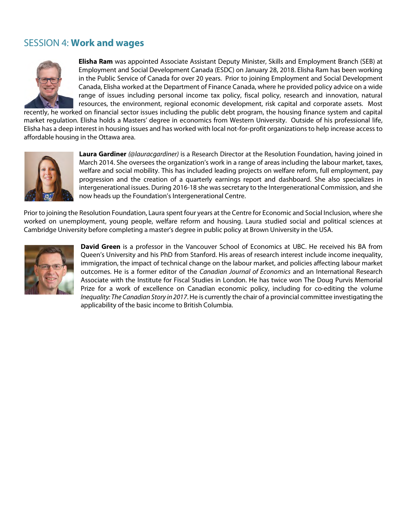#### SESSION 4: **Work and wages**



**Elisha Ram** was appointed Associate Assistant Deputy Minister, Skills and Employment Branch (SEB) at Employment and Social Development Canada (ESDC) on January 28, 2018. Elisha Ram has been working in the Public Service of Canada for over 20 years. Prior to joining Employment and Social Development Canada, Elisha worked at the Department of Finance Canada, where he provided policy advice on a wide range of issues including personal income tax policy, fiscal policy, research and innovation, natural resources, the environment, regional economic development, risk capital and corporate assets. Most

recently, he worked on financial sector issues including the public debt program, the housing finance system and capital market regulation. Elisha holds a Masters' degree in economics from Western University. Outside of his professional life, Elisha has a deep interest in housing issues and has worked with local not-for-profit organizations to help increase access to affordable housing in the Ottawa area.



**Laura Gardiner** *(@lauracgardiner)* is a Research Director at the Resolution Foundation, having joined in March 2014. She oversees the organization's work in a range of areas including the labour market, taxes, welfare and social mobility. This has included leading projects on welfare reform, full employment, pay progression and the creation of a quarterly earnings report and dashboard. She also specializes in intergenerational issues. During 2016-18 she was secretary to the Intergenerational Commission, and she now heads up the Foundation's Intergenerational Centre.

Prior to joining the Resolution Foundation, Laura spent four years at the Centre for Economic and Social Inclusion, where she worked on unemployment, young people, welfare reform and housing. Laura studied social and political sciences at Cambridge University before completing a master's degree in public policy at Brown University in the USA.



**David Green** is a professor in the Vancouver School of Economics at UBC. He received his BA from Queen's University and his PhD from Stanford. His areas of research interest include income inequality, immigration, the impact of technical change on the labour market, and policies affecting labour market outcomes. He is a former editor of the *Canadian Journal of Economics* and an International Research Associate with the Institute for Fiscal Studies in London. He has twice won The Doug Purvis Memorial Prize for a work of excellence on Canadian economic policy, including for co-editing the volume *Inequality: The Canadian Story in 2017*. He is currently the chair of a provincial committee investigating the applicability of the basic income to British Columbia.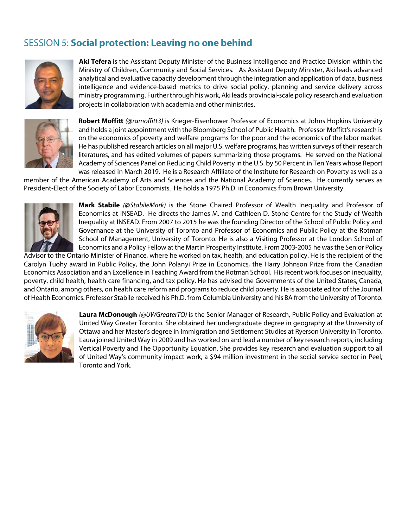## SESSION 5: **Social protection: Leaving no one behind**



**Aki Tefera** is the Assistant Deputy Minister of the Business Intelligence and Practice Division within the Ministry of Children, Community and Social Services. As Assistant Deputy Minister, Aki leads advanced analytical and evaluative capacity development through the integration and application of data, business intelligence and evidence-based metrics to drive social policy, planning and service delivery across ministry programming. Further through his work, Aki leads provincial-scale policy research and evaluation projects in collaboration with academia and other ministries.



**Robert Moffitt** *(@ramoffitt3)* is Krieger-Eisenhower Professor of Economics at Johns Hopkins University and holds a joint appointment with the Bloomberg School of Public Health. Professor Moffitt's research is on the economics of poverty and welfare programs for the poor and the economics of the labor market. He has published research articles on all major U.S. welfare programs, has written surveys of their research literatures, and has edited volumes of papers summarizing those programs. He served on the National Academy of Sciences Panel on Reducing Child Poverty in the U.S. by 50 Percent in Ten Years whose Report was released in March 2019. He is a Research Affiliate of the Institute for Research on Poverty as well as a

member of the American Academy of Arts and Sciences and the National Academy of Sciences. He currently serves as President-Elect of the Society of Labor Economists. He holds a 1975 Ph.D. in Economics from Brown University.



**Mark Stabile** *(@StabileMark)* is the Stone Chaired Professor of Wealth Inequality and Professor of Economics at INSEAD. He directs the James M. and Cathleen D. Stone Centre for the Study of Wealth Inequality at INSEAD. From 2007 to 2015 he was the founding Director of the School of Public Policy and Governance at the University of Toronto and Professor of Economics and Public Policy at the Rotman School of Management, University of Toronto. He is also a Visiting Professor at the London School of Economics and a Policy Fellow at the Martin Prosperity Institute. From 2003-2005 he was the Senior Policy

Advisor to the Ontario Minister of Finance, where he worked on tax, health, and education policy. He is the recipient of the Carolyn Tuohy award in Public Policy, the John Polanyi Prize in Economics, the Harry Johnson Prize from the Canadian Economics Association and an Excellence in Teaching Award from the Rotman School. His recent work focuses on inequality, poverty, child health, health care financing, and tax policy. He has advised the Governments of the United States, Canada, and Ontario, among others, on health care reform and programs to reduce child poverty. He is associate editor of the Journal of Health Economics. Professor Stabile received his Ph.D. from Columbia University and his BA from the University of Toronto.



**Laura McDonough** *(@UWGreaterTO)* is the Senior Manager of Research, Public Policy and Evaluation at United Way Greater Toronto. She obtained her undergraduate degree in geography at the University of Ottawa and her Master's degree in Immigration and Settlement Studies at Ryerson University in Toronto. Laura joined United Way in 2009 and has worked on and lead a number of key research reports, including Vertical Poverty and The Opportunity Equation. She provides key research and evaluation support to all of United Way's community impact work, a \$94 million investment in the social service sector in Peel, Toronto and York.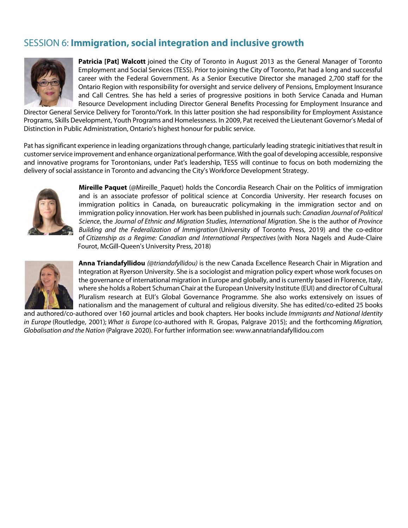## SESSION 6: **Immigration, social integration and inclusive growth**



**Patricia [Pat] Walcott** joined the City of Toronto in August 2013 as the General Manager of Toronto Employment and Social Services (TESS). Prior to joining the City of Toronto, Pat had a long and successful career with the Federal Government. As a Senior Executive Director she managed 2,700 staff for the Ontario Region with responsibility for oversight and service delivery of Pensions, Employment Insurance and Call Centres. She has held a series of progressive positions in both Service Canada and Human Resource Development including Director General Benefits Processing for Employment Insurance and

Director General Service Delivery for Toronto/York. In this latter position she had responsibility for Employment Assistance Programs, Skills Development, Youth Programs and Homelessness. In 2009, Pat received the Lieutenant Governor's Medal of Distinction in Public Administration, Ontario's highest honour for public service.

Pat has significant experience in leading organizations through change, particularly leading strategic initiatives that result in customer service improvement and enhance organizational performance. With the goal of developing accessible, responsive and innovative programs for Torontonians, under Pat's leadership, TESS will continue to focus on both modernizing the delivery of social assistance in Toronto and advancing the City's Workforce Development Strategy.



**Mireille Paquet** (@Mireille\_Paquet) holds the Concordia Research Chair on the Politics of immigration and is an associate professor of political science at Concordia University. Her research focuses on immigration politics in Canada, on bureaucratic policymaking in the immigration sector and on immigration policy innovation. Her work has been published in journals such: *Canadian Journal of Political Science*, the *Journal of Ethnic and Migration Studies, International Migration*. She is the author of *Province Building and the Federalization of Immigration* (University of Toronto Press, 2019) and the co-editor of *Citizenship as a Regime: Canadian and International Perspectives* (with Nora Nagels and Aude-Claire Fourot, McGill-Queen's University Press, 2018)



**Anna Triandafyllidou** *(@triandafyllidou)* is the new Canada Excellence Research Chair in Migration and Integration at Ryerson University. She is a sociologist and migration policy expert whose work focuses on the governance of international migration in Europe and globally, and is currently based in Florence, Italy, where she holds a Robert Schuman Chair at the European University Institute (EUI) and director of Cultural Pluralism research at EUI's Global Governance Programme. She also works extensively on issues of nationalism and the management of cultural and religious diversity. She has edited/co-edited 25 books

and authored/co-authored over 160 journal articles and book chapters. Her books include *Immigrants and National Identity in Europe* (Routledge, 2001); *What is Europe* (co-authored with R. Gropas, Palgrave 2015); and the forthcoming *Migration, Globalisation and the Nation* (Palgrave 2020). For further information see: www.annatriandafyllidou.com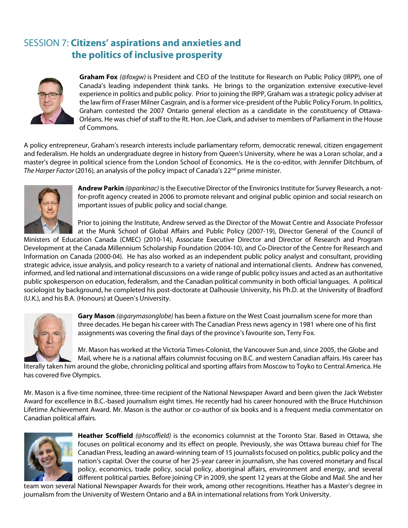## SESSION 7: **Citizens' aspirations and anxieties and the politics of inclusive prosperity**



**Graham Fox** *(@foxgw)* is President and CEO of the Institute for Research on Public Policy (IRPP), one of Canada's leading independent think tanks. He brings to the organization extensive executive-level experience in politics and public policy. Prior to joining the IRPP, Graham was a strategic policy adviser at the law firm of Fraser Milner Casgrain, and is a former vice-president of the Public Policy Forum. In politics, Graham contested the 2007 Ontario general election as a candidate in the constituency of Ottawa-Orléans. He was chief of staff to the Rt. Hon. Joe Clark, and adviser to members of Parliament in the House of Commons.

A policy entrepreneur, Graham's research interests include parliamentary reform, democratic renewal, citizen engagement and federalism. He holds an undergraduate degree in history from Queen's University, where he was a Loran scholar, and a master's degree in political science from the London School of Economics. He is the co-editor, with Jennifer Ditchburn, of *The Harper Factor* (2016), an analysis of the policy impact of Canada's 22<sup>nd</sup> prime minister.



**Andrew Parkin** *(@parkinac)* is the Executive Director of the Environics Institute for Survey Research, a notfor-profit agency created in 2006 to promote relevant and original public opinion and social research on important issues of public policy and social change.

Prior to joining the Institute, Andrew served as the Director of the Mowat Centre and Associate Professor at the Munk School of Global Affairs and Public Policy (2007-19), Director General of the Council of

Ministers of Education Canada (CMEC) (2010-14), Associate Executive Director and Director of Research and Program Development at the Canada Millennium Scholarship Foundation (2004-10), and Co-Director of the Centre for Research and Information on Canada (2000-04). He has also worked as an independent public policy analyst and consultant, providing strategic advice, issue analysis, and policy research to a variety of national and international clients. Andrew has convened, informed, and led national and international discussions on a wide range of public policy issues and acted as an authoritative public spokesperson on education, federalism, and the Canadian political community in both official languages. A political sociologist by background, he completed his post-doctorate at Dalhousie University, his Ph.D. at the University of Bradford (U.K.), and his B.A. (Honours) at Queen's University.



**Gary Mason** *(@garymasonglobe)* has been a fixture on the West Coast journalism scene for more than three decades. He began his career with The Canadian Press news agency in 1981 where one of his first assignments was covering the final days of the province's favourite son, Terry Fox.

Mr. Mason has worked at the Victoria Times-Colonist, the Vancouver Sun and, since 2005, the Globe and Mail, where he is a national affairs columnist focusing on B.C. and western Canadian affairs. His career has

literally taken him around the globe, chronicling political and sporting affairs from Moscow to Toyko to Central America. He has covered five Olympics.

Mr. Mason is a five-time nominee, three-time recipient of the National Newspaper Award and been given the Jack Webster Award for excellence in B.C.-based journalism eight times. He recently had his career honoured with the Bruce Hutchinson Lifetime Achievement Award. Mr. Mason is the author or co-author of six books and is a frequent media commentator on Canadian political affairs.



**Heather Scoffield** *(@hscoffield)* is the economics columnist at the Toronto Star. Based in Ottawa, she focuses on political economy and its effect on people. Previously, she was Ottawa bureau chief for The Canadian Press, leading an award-winning team of 15 journalists focused on politics, public policy and the nation's capital. Over the course of her 25-year career in journalism, she has covered monetary and fiscal policy, economics, trade policy, social policy, aboriginal affairs, environment and energy, and several different political parties. Before joining CP in 2009, she spent 12 years at the Globe and Mail. She and her

team won several National Newspaper Awards for their work, among other recognitions. Heather has a Master's degree in journalism from the University of Western Ontario and a BA in international relations from York University.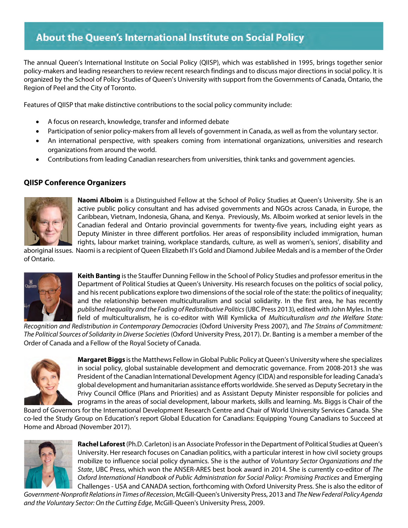# About the Queen's International Institute on Social Policy

The annual Queen's International Institute on Social Policy (QIISP), which was established in 1995, brings together senior policy-makers and leading researchers to review recent research findings and to discuss major directions in social policy. It is organized by the School of Policy Studies of Queen's University with support from the Governments of Canada, Ontario, the Region of Peel and the City of Toronto.

Features of QIISP that make distinctive contributions to the social policy community include:

- A focus on research, knowledge, transfer and informed debate
- Participation of senior policy-makers from all levels of government in Canada, as well as from the voluntary sector.
- An international perspective, with speakers coming from international organizations, universities and research organizations from around the world.
- Contributions from leading Canadian researchers from universities, think tanks and government agencies.

#### **QIISP Conference Organizers**



**Naomi Alboim** is a Distinguished Fellow at the School of Policy Studies at Queen's University. She is an active public policy consultant and has advised governments and NGOs across Canada, in Europe, the Caribbean, Vietnam, Indonesia, Ghana, and Kenya. Previously, Ms. Alboim worked at senior levels in the Canadian federal and Ontario provincial governments for twenty-five years, including eight years as Deputy Minister in three different portfolios. Her areas of responsibility included immigration, human rights, labour market training, workplace standards, culture, as well as women's, seniors', disability and

aboriginal issues. Naomi is a recipient of Queen Elizabeth II's Gold and Diamond Jubilee Medals and is a member of the Order of Ontario.



**Keith Banting** is the Stauffer Dunning Fellow in the School of Policy Studies and professor emeritus in the Department of Political Studies at Queen's University. His research focuses on the politics of social policy, and his recent publications explore two dimensions of the social role of the state: the politics of inequality; and the relationship between multiculturalism and social solidarity. In the first area, he has recently *published Inequality and the Fading of Redistributive Politics*(UBC Press 2013), edited with John Myles. In the field of multiculturalism, he is co-editor with Will Kymlicka of *Multiculturalism and the Welfare State:* 

*Recognition and Redistribution in Contemporary Democracies* (Oxford University Press 2007), and *The Strains of Commitment: The Political Sources of Solidarity in Diverse Societies* (Oxford University Press, 2017). Dr. Banting is a member a member of the Order of Canada and a Fellow of the Royal Society of Canada.



**Margaret Biggs** is the Matthews Fellow in Global Public Policy at Queen's University where she specializes in social policy, global sustainable development and democratic governance. From 2008-2013 she was President of the Canadian International Development Agency (CIDA) and responsible for leading Canada's global development and humanitarian assistance efforts worldwide. She served as Deputy Secretary in the Privy Council Office (Plans and Priorities) and as Assistant Deputy Minister responsible for policies and programs in the areas of social development, labour markets, skills and learning. Ms. Biggs is Chair of the

Board of Governors for the International Development Research Centre and Chair of World University Services Canada. She co-led the Study Group on Education's report Global Education for Canadians: Equipping Young Canadians to Succeed at Home and Abroad (November 2017).



**Rachel Laforest** (Ph.D. Carleton) is an Associate Professor in the Department of Political Studies at Queen's University. Her research focuses on Canadian politics, with a particular interest in how civil society groups mobilize to influence social policy dynamics. She is the author of *Voluntary Sector Organizations and the State*, UBC Press, which won the ANSER-ARES best book award in 2014. She is currently co-editor of *The Oxford International Handbook of Public Administration for Social Policy: Promising Practices* and Emerging Challenges - USA and CANADA section, forthcoming with Oxford University Press. She is also the editor of

*Government-Nonprofit Relations in Times of Recession*, McGill-Queen's University Press, 2013 and *The New Federal Policy Agenda and the Voluntary Sector: On the Cutting Edge*, McGill-Queen's University Press, 2009.